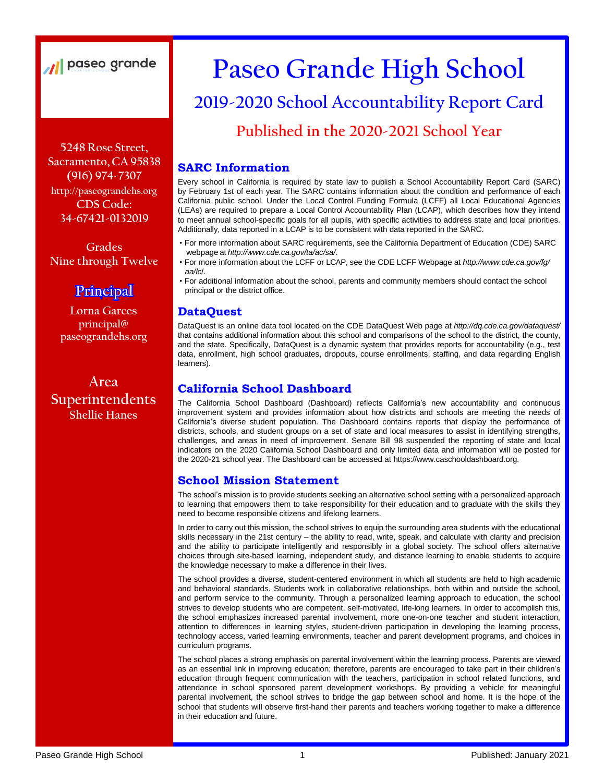## // paseo grande

**5248 Rose Street, Sacramento, CA 95838 (916) 974-7307 [http://paseograndehs.org](http://paseograndehs.org/) CDS Code: 34-67421-0132019**

**Grades Nine through Twelve**

## **Principal**

**Lorna Garces principal@ paseograndehs.org**

**Area Superintendents Shellie Hanes**

# **Paseo Grande High School**

## **2019-2020 School Accountability Report Card**

**Published in the 2020-2021 School Year**

#### **SARC Information**

Every school in California is required by state law to publish a School Accountability Report Card (SARC) by February 1st of each year. The SARC contains information about the condition and performance of each California public school. Under the Local Control Funding Formula (LCFF) all Local Educational Agencies (LEAs) are required to prepare a Local Control Accountability Plan (LCAP), which describes how they intend to meet annual school-specific goals for all pupils, with specific activities to address state and local priorities. Additionally, data reported in a LCAP is to be consistent with data reported in the SARC.

- For more information about SARC requirements, see the California Department of Education (CDE) SARC webpage at *<http://www.cde.ca.gov/ta/ac/sa/>*.
- For more information about the LCFF or LCAP, see the CDE LCFF Webpage at *<http://www.cde.ca.gov/fg/> aa/lc*/.
- For additional information about the school, parents and community members should contact the school principal or the district office.

#### **DataQuest**

DataQuest is an online data tool located on the CDE DataQuest Web page at *<http://dq.cde.ca.gov/dataquest/>* that contains additional information about this school and comparisons of the school to the district, the county, and the state. Specifically, DataQuest is a dynamic system that provides reports for accountability (e.g., test data, enrollment, high school graduates, dropouts, course enrollments, staffing, and data regarding English learners).

#### **California School Dashboard**

The California School Dashboard (Dashboard) reflects California's new accountability and continuous improvement system and provides information about how districts and schools are meeting the needs of California's diverse student population. The Dashboard contains reports that display the performance of districts, schools, and student groups on a set of state and local measures to assist in identifying strengths, challenges, and areas in need of improvement. Senate Bill 98 suspended the reporting of state and local indicators on the 2020 California School Dashboard and only limited data and information will be posted for the 2020-21 school year. [The Dashboard can be accessed at https://www.caschooldashboard.org.](http://www.caschooldashboard.org/)

#### **School Mission Statement**

The school's mission is to provide students seeking an alternative school setting with a personalized approach to learning that empowers them to take responsibility for their education and to graduate with the skills they need to become responsible citizens and lifelong learners.

In order to carry out this mission, the school strives to equip the surrounding area students with the educational skills necessary in the 21st century – the ability to read, write, speak, and calculate with clarity and precision and the ability to participate intelligently and responsibly in a global society. The school offers alternative choices through site-based learning, independent study, and distance learning to enable students to acquire the knowledge necessary to make a difference in their lives.

The school provides a diverse, student-centered environment in which all students are held to high academic and behavioral standards. Students work in collaborative relationships, both within and outside the school, and perform service to the community. Through a personalized learning approach to education, the school strives to develop students who are competent, self-motivated, life-long learners. In order to accomplish this, the school emphasizes increased parental involvement, more one-on-one teacher and student interaction, attention to differences in learning styles, student-driven participation in developing the learning process, technology access, varied learning environments, teacher and parent development programs, and choices in curriculum programs.

The school places a strong emphasis on parental involvement within the learning process. Parents are viewed as an essential link in improving education; therefore, parents are encouraged to take part in their children's education through frequent communication with the teachers, participation in school related functions, and attendance in school sponsored parent development workshops. By providing a vehicle for meaningful parental involvement, the school strives to bridge the gap between school and home. It is the hope of the school that students will observe first-hand their parents and teachers working together to make a difference in their education and future.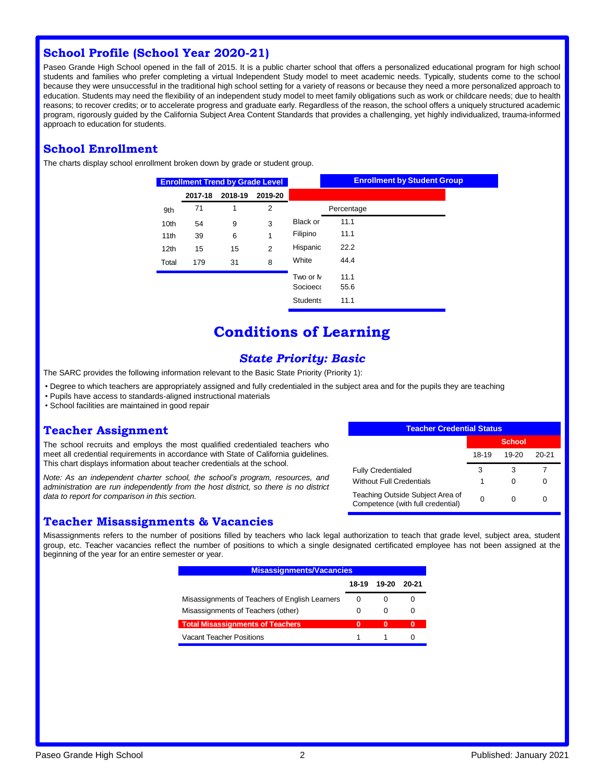#### **School Profile (School Year 2020-21)**

Paseo Grande High School opened in the fall of 2015. It is a public charter school that offers a personalized educational program for high school students and families who prefer completing a virtual Independent Study model to meet academic needs. Typically, students come to the school because they were unsuccessful in the traditional high school setting for a variety of reasons or because they need a more personalized approach to education. Students may need the flexibility of an independent study model to meet family obligations such as work or childcare needs; due to health reasons; to recover credits; or to accelerate progress and graduate early. Regardless of the reason, the school offers a uniquely structured academic program, rigorously guided by the California Subject Area Content Standards that provides a challenging, yet highly individualized, trauma-informed approach to education for students.

#### **School Enrollment**

The charts display school enrollment broken down by grade or student group.

| <b>Enrollment Trend by Grade Level</b> |         |         |                |                 | <b>Enrollment by Student Group</b> |
|----------------------------------------|---------|---------|----------------|-----------------|------------------------------------|
|                                        | 2017-18 | 2018-19 | 2019-20        |                 |                                    |
| 9th                                    | 71      | 1       | $\overline{2}$ |                 | Percentage                         |
| 10 <sub>th</sub>                       | 54      | 9       | 3              | <b>Black or</b> | 11.1                               |
| 11 <sub>th</sub>                       | 39      | 6       | 1              | Filipino        | 11.1                               |
| 12 <sub>th</sub>                       | 15      | 15      | $\overline{2}$ | Hispanic        | 22.2                               |
| Total                                  | 179     | 31      | 8              | White           | 44.4                               |
|                                        |         |         |                | Two or N        | 11.1                               |
|                                        |         |         |                | Socioeco        | 55.6                               |
|                                        |         |         |                | <b>Students</b> | 11.1                               |

## **Conditions of Learning**

#### *State Priority: Basic*

The SARC provides the following information relevant to the Basic State Priority (Priority 1):

- Degree to which teachers are appropriately assigned and fully credentialed in the subject area and for the pupils they are teaching
- Pupils have access to standards-aligned instructional materials
- School facilities are maintained in good repair

#### **Teacher Assignment**

The school recruits and employs the most qualified credentialed teachers who meet all credential requirements in accordance with State of California guidelines. This chart displays information about teacher credentials at the school.

*Note: As an independent charter school, the school's program, resources, and administration are run independently from the host district, so there is no district data to report for comparison in this section.*

#### **Teacher Misassignments & Vacancies**

| <b>Teacher Credential Status</b>                                      |        |           |       |  |  |
|-----------------------------------------------------------------------|--------|-----------|-------|--|--|
|                                                                       | School |           |       |  |  |
|                                                                       | 18-19  | $19 - 20$ | 20-21 |  |  |
| <b>Fully Credentialed</b>                                             | з      | з         |       |  |  |
| <b>Without Full Credentials</b>                                       | 1      | O         |       |  |  |
| Teaching Outside Subject Area of<br>Competence (with full credential) |        |           |       |  |  |

Misassignments refers to the number of positions filled by teachers who lack legal authorization to teach that grade level, subject area, student group, etc. Teacher vacancies reflect the number of positions to which a single designated certificated employee has not been assigned at the beginning of the year for an entire semester or year.

| <b>Misassignments/Vacancies</b>                |       |       |              |  |
|------------------------------------------------|-------|-------|--------------|--|
|                                                | 18-19 | 19-20 | 20-21        |  |
| Misassignments of Teachers of English Learners | 0     | O     |              |  |
| Misassignments of Teachers (other)             | 0     | 0     | $\mathbf{O}$ |  |
| <b>Total Misassignments of Teachers</b>        | 0     | 0     | 0            |  |
| Vacant Teacher Positions                       |       |       |              |  |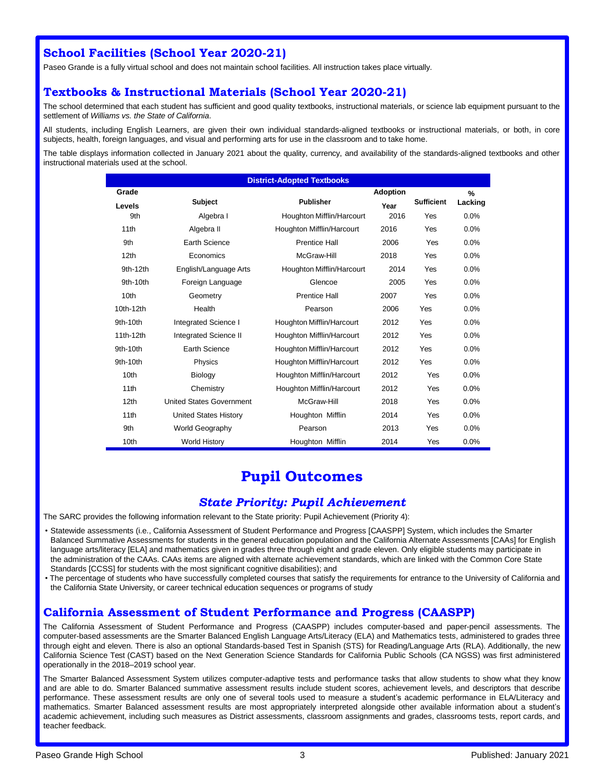#### **School Facilities (School Year 2020-21)**

Paseo Grande is a fully virtual school and does not maintain school facilities. All instruction takes place virtually.

#### **Textbooks & Instructional Materials (School Year 2020-21)**

The school determined that each student has sufficient and good quality textbooks, instructional materials, or science lab equipment pursuant to the settlement of *Williams vs. the State of California*.

All students, including English Learners, are given their own individual standards-aligned textbooks or instructional materials, or both, in core subjects, health, foreign languages, and visual and performing arts for use in the classroom and to take home.

The table displays information collected in January 2021 about the quality, currency, and availability of the standards-aligned textbooks and other instructional materials used at the school.

| <b>District-Adopted Textbooks</b> |                                 |                           |                 |                   |         |  |  |
|-----------------------------------|---------------------------------|---------------------------|-----------------|-------------------|---------|--|--|
| Grade                             |                                 |                           | <b>Adoption</b> |                   | %       |  |  |
| Levels                            | <b>Subject</b>                  | <b>Publisher</b>          | Year            | <b>Sufficient</b> | Lacking |  |  |
| 9th                               | Algebra I                       | Houghton Mifflin/Harcourt | 2016            | Yes               | 0.0%    |  |  |
| 11 <sub>th</sub>                  | Algebra II                      | Houghton Mifflin/Harcourt | 2016            | Yes               | 0.0%    |  |  |
| 9th                               | Earth Science                   | <b>Prentice Hall</b>      | 2006            | Yes               | 0.0%    |  |  |
| 12 <sub>th</sub>                  | Economics                       | McGraw-Hill               | 2018            | Yes               | 0.0%    |  |  |
| 9th-12th                          | English/Language Arts           | Houghton Mifflin/Harcourt | 2014            | Yes               | 0.0%    |  |  |
| 9th-10th                          | Foreign Language                | Glencoe                   | 2005            | Yes               | 0.0%    |  |  |
| 10th                              | Geometry                        | Prentice Hall             | 2007            | Yes               | 0.0%    |  |  |
| 10th-12th                         | Health                          | Pearson                   | 2006            | Yes               | 0.0%    |  |  |
| $9th-10th$                        | <b>Integrated Science I</b>     | Houghton Mifflin/Harcourt | 2012            | Yes               | 0.0%    |  |  |
| 11th-12th                         | <b>Integrated Science II</b>    | Houghton Mifflin/Harcourt | 2012            | Yes               | 0.0%    |  |  |
| $9th-10th$                        | Earth Science                   | Houghton Mifflin/Harcourt | 2012            | Yes               | 0.0%    |  |  |
| $9th-10th$                        | Physics                         | Houghton Mifflin/Harcourt | 2012            | Yes               | 0.0%    |  |  |
| 10th                              | Biology                         | Houghton Mifflin/Harcourt | 2012            | Yes               | 0.0%    |  |  |
| 11th                              | Chemistry                       | Houghton Mifflin/Harcourt | 2012            | Yes               | 0.0%    |  |  |
| 12 <sub>th</sub>                  | <b>United States Government</b> | McGraw-Hill               | 2018            | Yes               | 0.0%    |  |  |
| 11th                              | <b>United States History</b>    | Houghton Mifflin          | 2014            | Yes               | 0.0%    |  |  |
| 9th                               | <b>World Geography</b>          | Pearson                   | 2013            | Yes               | 0.0%    |  |  |
| 10th                              | <b>World History</b>            | Houghton Mifflin          | 2014            | Yes               | 0.0%    |  |  |

## **Pupil Outcomes**

#### *State Priority: Pupil Achievement*

The SARC provides the following information relevant to the State priority: Pupil Achievement (Priority 4):

- Statewide assessments (i.e., California Assessment of Student Performance and Progress [CAASPP] System, which includes the Smarter Balanced Summative Assessments for students in the general education population and the California Alternate Assessments [CAAs] for English language arts/literacy [ELA] and mathematics given in grades three through eight and grade eleven. Only eligible students may participate in the administration of the CAAs. CAAs items are aligned with alternate achievement standards, which are linked with the Common Core State Standards [CCSS] for students with the most significant cognitive disabilities); and
- The percentage of students who have successfully completed courses that satisfy the requirements for entrance to the University of California and the California State University, or career technical education sequences or programs of study

#### **California Assessment of Student Performance and Progress (CAASPP)**

The California Assessment of Student Performance and Progress (CAASPP) includes computer-based and paper-pencil assessments. The computer-based assessments are the Smarter Balanced English Language Arts/Literacy (ELA) and Mathematics tests, administered to grades three through eight and eleven. There is also an optional Standards-based Test in Spanish (STS) for Reading/Language Arts (RLA). Additionally, the new California Science Test (CAST) based on the Next Generation Science Standards for California Public Schools (CA NGSS) was first administered operationally in the 2018–2019 school year.

The Smarter Balanced Assessment System utilizes computer-adaptive tests and performance tasks that allow students to show what they know and are able to do. Smarter Balanced summative assessment results include student scores, achievement levels, and descriptors that describe performance. These assessment results are only one of several tools used to measure a student's academic performance in ELA/Literacy and mathematics. Smarter Balanced assessment results are most appropriately interpreted alongside other available information about a student's academic achievement, including such measures as District assessments, classroom assignments and grades, classrooms tests, report cards, and teacher feedback.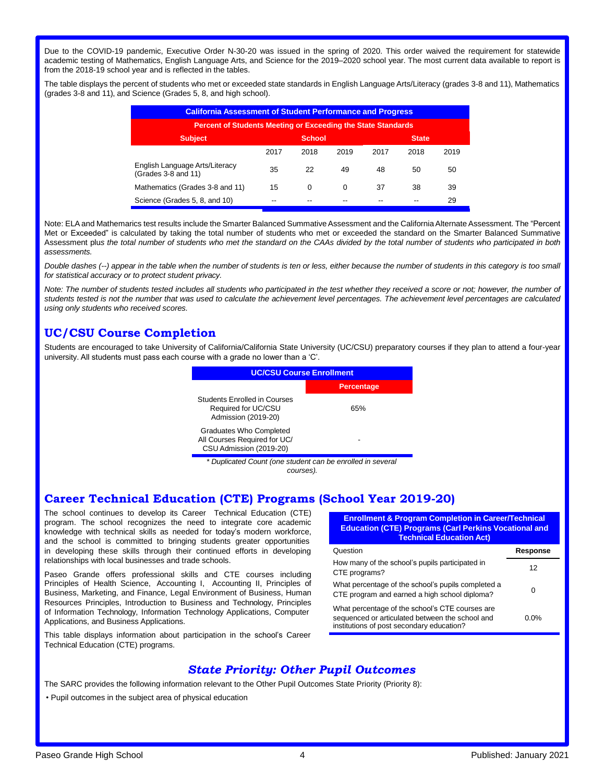Due to the COVID-19 pandemic, Executive Order N-30-20 was issued in the spring of 2020. This order waived the requirement for statewide academic testing of Mathematics, English Language Arts, and Science for the 2019–2020 school year. The most current data available to report is from the 2018-19 school year and is reflected in the tables.

The table displays the percent of students who met or exceeded state standards in English Language Arts/Literacy (grades 3-8 and 11), Mathematics (grades 3-8 and 11), and Science (Grades 5, 8, and high school).

| <b>California Assessment of Student Performance and Progress</b>    |      |      |      |      |      |      |  |
|---------------------------------------------------------------------|------|------|------|------|------|------|--|
| <b>Percent of Students Meeting or Exceeding the State Standards</b> |      |      |      |      |      |      |  |
| <b>Subject</b><br><b>School</b><br><b>State</b>                     |      |      |      |      |      |      |  |
|                                                                     | 2017 | 2018 | 2019 | 2017 | 2018 | 2019 |  |
| English Language Arts/Literacy<br>(Grades 3-8 and 11)               | 35   | 22   | 49   | 48   | 50   | 50   |  |
| Mathematics (Grades 3-8 and 11)                                     | 15   | 0    | 0    | 37   | 38   | 39   |  |
| Science (Grades 5, 8, and 10)                                       | --   |      |      |      | --   | 29   |  |

Note: ELA and Mathemarics test results include the Smarter Balanced Summative Assessment and the California Alternate Assessment. The "Percent Met or Exceeded" is calculated by taking the total number of students who met or exceeded the standard on the Smarter Balanced Summative Assessment plus the total number of students who met the standard on the CAAs divided by the total number of students who participated in both *assessments.*

Double dashes (--) appear in the table when the number of students is ten or less, either because the number of students in this category is too small *for statistical accuracy or to protect student privacy.*

Note: The number of students tested includes all students who participated in the test whether they received a score or not; however, the number of students tested is not the number that was used to calculate the achievement level percentages. The achievement level percentages are calculated *using only students who received scores.*

#### **UC/CSU Course Completion**

Students are encouraged to take University of California/California State University (UC/CSU) preparatory courses if they plan to attend a four-year university. All students must pass each course with a grade no lower than a 'C'.



*\* Duplicated Count (one student can be enrolled in several courses).*

#### **Career Technical Education (CTE) Programs (School Year 2019-20)**

The school continues to develop its Career Technical Education (CTE) program. The school recognizes the need to integrate core academic knowledge with technical skills as needed for today's modern workforce, and the school is committed to bringing students greater opportunities in developing these skills through their continued efforts in developing relationships with local businesses and trade schools.

Paseo Grande offers professional skills and CTE courses including Principles of Health Science, Accounting I, Accounting II, Principles of Business, Marketing, and Finance, Legal Environment of Business, Human Resources Principles, Introduction to Business and Technology, Principles of Information Technology, Information Technology Applications, Computer Applications, and Business Applications.

This table displays information about participation in the school's Career Technical Education (CTE) programs.

**Enrollment & Program Completion in Career/Technical Education (CTE) Programs (Carl Perkins Vocational and Technical Education Act)**

| Question                                                                                                                                        | Response |
|-------------------------------------------------------------------------------------------------------------------------------------------------|----------|
| How many of the school's pupils participated in<br>CTE programs?                                                                                | 12       |
| What percentage of the school's pupils completed a<br>CTE program and earned a high school diploma?                                             | ი        |
| What percentage of the school's CTE courses are<br>sequenced or articulated between the school and<br>institutions of post secondary education? | 0.0%     |

#### *State Priority: Other Pupil Outcomes*

The SARC provides the following information relevant to the Other Pupil Outcomes State Priority (Priority 8):

• Pupil outcomes in the subject area of physical education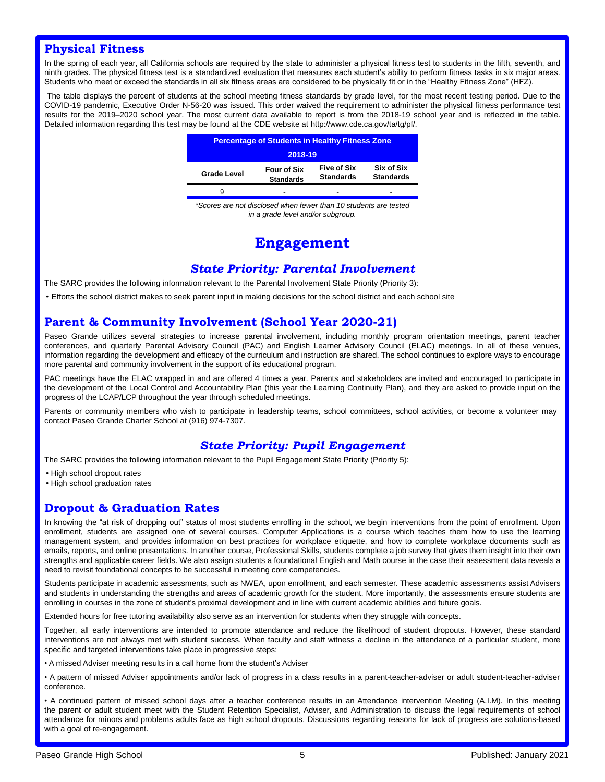#### **Physical Fitness**

In the spring of each year, all California schools are required by the state to administer a physical fitness test to students in the fifth, seventh, and ninth grades. The physical fitness test is a standardized evaluation that measures each student's ability to perform fitness tasks in six major areas. Students who meet or exceed the standards in all six fitness areas are considered to be physically fit or in the "Healthy Fitness Zone" (HFZ).

The table displays the percent of students at the school meeting fitness standards by grade level, for the most recent testing period. Due to the COVID-19 pandemic, Executive Order N-56-20 was issued. This order waived the requirement to administer the physical fitness performance test results for the 2019–2020 school year. The most current data available to report is from the 2018-19 school year and is reflected in the tabl[e.](http://www.cde.ca.gov/ta/tg/pf/) [Detailed information regarding this test may be found at the CDE website at http://www.cde.ca.gov/ta/tg/pf/.](http://www.cde.ca.gov/ta/tg/pf/)

| <b>Percentage of Students in Healthy Fitness Zone</b> |                                        |                                        |                                |  |  |  |
|-------------------------------------------------------|----------------------------------------|----------------------------------------|--------------------------------|--|--|--|
| 2018-19                                               |                                        |                                        |                                |  |  |  |
| <b>Grade Level</b>                                    | <b>Four of Six</b><br><b>Standards</b> | <b>Five of Six</b><br><b>Standards</b> | Six of Six<br><b>Standards</b> |  |  |  |
| a                                                     | -                                      | -                                      |                                |  |  |  |

*\*Scores are not disclosed when fewer than 10 students are tested in a grade level and/or subgroup.*

### **Engagement**

#### *State Priority: Parental Involvement*

The SARC provides the following information relevant to the Parental Involvement State Priority (Priority 3):

• Efforts the school district makes to seek parent input in making decisions for the school district and each school site

#### **Parent & Community Involvement (School Year 2020-21)**

Paseo Grande utilizes several strategies to increase parental involvement, including monthly program orientation meetings, parent teacher conferences, and quarterly Parental Advisory Council (PAC) and English Learner Advisory Council (ELAC) meetings. In all of these venues, information regarding the development and efficacy of the curriculum and instruction are shared. The school continues to explore ways to encourage more parental and community involvement in the support of its educational program.

PAC meetings have the ELAC wrapped in and are offered 4 times a year. Parents and stakeholders are invited and encouraged to participate in the development of the Local Control and Accountability Plan (this year the Learning Continuity Plan), and they are asked to provide input on the progress of the LCAP/LCP throughout the year through scheduled meetings.

Parents or community members who wish to participate in leadership teams, school committees, school activities, or become a volunteer may contact Paseo Grande Charter School at (916) 974-7307.

#### *State Priority: Pupil Engagement*

The SARC provides the following information relevant to the Pupil Engagement State Priority (Priority 5):

- High school dropout rates
- High school graduation rates

#### **Dropout & Graduation Rates**

In knowing the "at risk of dropping out" status of most students enrolling in the school, we begin interventions from the point of enrollment. Upon enrollment, students are assigned one of several courses. Computer Applications is a course which teaches them how to use the learning management system, and provides information on best practices for workplace etiquette, and how to complete workplace documents such as emails, reports, and online presentations. In another course, Professional Skills, students complete a job survey that gives them insight into their own strengths and applicable career fields. We also assign students a foundational English and Math course in the case their assessment data reveals a need to revisit foundational concepts to be successful in meeting core competencies.

Students participate in academic assessments, such as NWEA, upon enrollment, and each semester. These academic assessments assist Advisers and students in understanding the strengths and areas of academic growth for the student. More importantly, the assessments ensure students are enrolling in courses in the zone of student's proximal development and in line with current academic abilities and future goals.

Extended hours for free tutoring availability also serve as an intervention for students when they struggle with concepts.

Together, all early interventions are intended to promote attendance and reduce the likelihood of student dropouts. However, these standard interventions are not always met with student success. When faculty and staff witness a decline in the attendance of a particular student, more specific and targeted interventions take place in progressive steps:

• A missed Adviser meeting results in a call home from the student's Adviser

• A pattern of missed Adviser appointments and/or lack of progress in a class results in a parent-teacher-adviser or adult student-teacher-adviser conference.

• A continued pattern of missed school days after a teacher conference results in an Attendance intervention Meeting (A.I.M). In this meeting the parent or adult student meet with the Student Retention Specialist, Adviser, and Administration to discuss the legal requirements of school attendance for minors and problems adults face as high school dropouts. Discussions regarding reasons for lack of progress are solutions-based with a goal of re-engagement.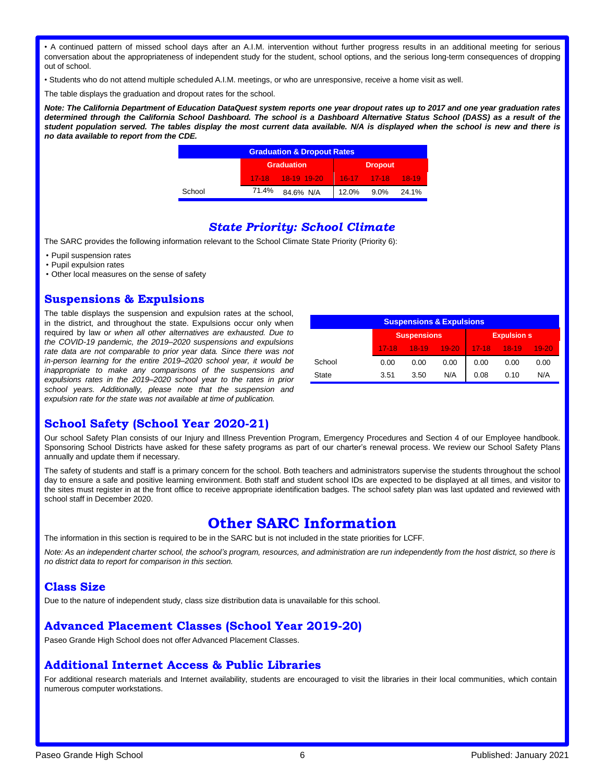• A continued pattern of missed school days after an A.I.M. intervention without further progress results in an additional meeting for serious conversation about the appropriateness of independent study for the student, school options, and the serious long-term consequences of dropping out of school.

• Students who do not attend multiple scheduled A.I.M. meetings, or who are unresponsive, receive a home visit as well.

The table displays the graduation and dropout rates for the school.

Note: The California Department of Education DataQuest system reports one year dropout rates up to 2017 and one year graduation rates determined through the California School Dashboard. The school is a Dashboard Alternative Status School (DASS) as a result of the student population served. The tables display the most current data available. N/A is displayed when the school is new and there is *no data available to report from the CDE.*

| <b>Graduation &amp; Dropout Rates</b> |       |                   |       |                         |       |  |
|---------------------------------------|-------|-------------------|-------|-------------------------|-------|--|
|                                       |       | <b>Graduation</b> |       | <b>Dropout</b>          |       |  |
|                                       |       | 17-18 18-19 19-20 |       | $16-17$ $17-18$ $18-19$ |       |  |
| School                                | 71.4% | 84.6% N/A         | 12.0% | $9.0\%$                 | 24.1% |  |

#### *State Priority: School Climate*

The SARC provides the following information relevant to the School Climate State Priority (Priority 6):

- Pupil suspension rates
- Pupil expulsion rates
- Other local measures on the sense of safety

#### **Suspensions & Expulsions**

The table displays the suspension and expulsion rates at the school, in the district, and throughout the state. Expulsions occur only when required by law o*r when all other alternatives are exhausted. Due to the COVID-19 pandemic, the 2019–2020 suspensions and expulsions rate data are not comparable to prior year data. Since there was not in-person learning for the entire 2019–2020 school year, it would be inappropriate to make any comparisons of the suspensions and expulsions rates in the 2019–2020 school year to the rates in prior school years. Additionally, please note that the suspension and expulsion rate for the state was not available at time of publication.*

| <b>Suspensions &amp; Expulsions</b> |                                          |         |         |           |         |           |  |
|-------------------------------------|------------------------------------------|---------|---------|-----------|---------|-----------|--|
|                                     | <b>Suspensions</b><br><b>Expulsion s</b> |         |         |           |         |           |  |
|                                     | $17-18$                                  | $18-19$ | $19-20$ | $17 - 18$ | $18-19$ | $19 - 20$ |  |
| School                              | 0.00                                     | 0.00    | 0.00    | 0.00      | 0.00    | 0.00      |  |
| <b>State</b>                        | 3.51                                     | 3.50    | N/A     | 0.08      | 0.10    | N/A       |  |

#### **School Safety (School Year 2020-21)**

Our school Safety Plan consists of our Injury and Illness Prevention Program, Emergency Procedures and Section 4 of our Employee handbook. Sponsoring School Districts have asked for these safety programs as part of our charter's renewal process. We review our School Safety Plans annually and update them if necessary.

The safety of students and staff is a primary concern for the school. Both teachers and administrators supervise the students throughout the school day to ensure a safe and positive learning environment. Both staff and student school IDs are expected to be displayed at all times, and visitor to the sites must register in at the front office to receive appropriate identification badges. The school safety plan was last updated and reviewed with school staff in December 2020.

#### **Other SARC Information**

The information in this section is required to be in the SARC but is not included in the state priorities for LCFF.

Note: As an independent charter school, the school's program, resources, and administration are run independently from the host district, so there is *no district data to report for comparison in this section.*

#### **Class Size**

Due to the nature of independent study, class size distribution data is unavailable for this school.

#### **Advanced Placement Classes (School Year 2019-20)**

Paseo Grande High School does not offer Advanced Placement Classes.

#### **Additional Internet Access & Public Libraries**

For additional research materials and Internet availability, students are encouraged to visit the libraries in their local communities, which contain numerous computer workstations.